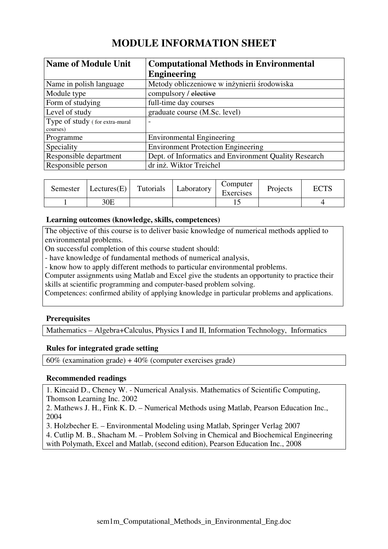# **MODULE INFORMATION SHEET**

| <b>Name of Module Unit</b>     | <b>Computational Methods in Environmental</b>         |  |  |
|--------------------------------|-------------------------------------------------------|--|--|
|                                | <b>Engineering</b>                                    |  |  |
| Name in polish language        | Metody obliczeniowe w inżynierii środowiska           |  |  |
| Module type                    | compulsory / elective                                 |  |  |
| Form of studying               | full-time day courses                                 |  |  |
| Level of study                 | graduate course (M.Sc. level)                         |  |  |
| Type of study (for extra-mural | $\overline{\phantom{0}}$                              |  |  |
| courses)                       |                                                       |  |  |
| Programme                      | <b>Environmental Engineering</b>                      |  |  |
| Speciality                     | <b>Environment Protection Engineering</b>             |  |  |
| Responsible department         | Dept. of Informatics and Environment Quality Research |  |  |
| Responsible person             | dr inż. Wiktor Treichel                               |  |  |

| Semester | $ \text{Lectures}(E) $ | Tutorials | Laboratory | Computer<br>Exercises | Projects | <b>ECTS</b> |
|----------|------------------------|-----------|------------|-----------------------|----------|-------------|
|          | 30E                    |           |            | ⊥⊷                    |          |             |

# **Learning outcomes (knowledge, skills, competences)**

The objective of this course is to deliver basic knowledge of numerical methods applied to environmental problems.

On successful completion of this course student should:

- have knowledge of fundamental methods of numerical analysis,

- know how to apply different methods to particular environmental problems.

Computer assignments using Matlab and Excel give the students an opportunity to practice their skills at scientific programming and computer-based problem solving.

Competences: confirmed ability of applying knowledge in particular problems and applications.

## **Prerequisites**

Mathematics – Algebra+Calculus, Physics I and II, Information Technology, Informatics

## **Rules for integrated grade setting**

 $60\%$  (examination grade) +  $40\%$  (computer exercises grade)

## **Recommended readings**

1. Kincaid D., Cheney W. - Numerical Analysis. Mathematics of Scientific Computing, Thomson Learning Inc. 2002

2. Mathews J. H., Fink K. D. – Numerical Methods using Matlab, Pearson Education Inc., 2004

3. Holzbecher E. – Environmental Modeling using Matlab, Springer Verlag 2007

4. Cutlip M. B., Shacham M. – Problem Solving in Chemical and Biochemical Engineering

with Polymath, Excel and Matlab, (second edition), Pearson Education Inc., 2008